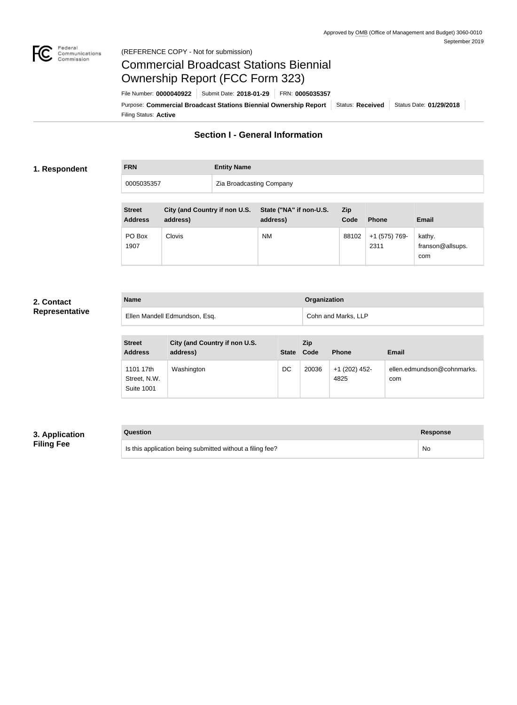

#### Federal<br>Communications<br>Commission (REFERENCE COPY - Not for submission)

# Commercial Broadcast Stations Biennial Ownership Report (FCC Form 323)

Filing Status: **Active** Purpose: Commercial Broadcast Stations Biennial Ownership Report Status: Received Status Date: 01/29/2018 File Number: **0000040922** Submit Date: **2018-01-29** FRN: **0005035357**

## **Section I - General Information**

#### **1. Respondent**

## **FRN Entity Name** 0005035357 **Zia Broadcasting Company**

| <b>Street</b><br><b>Address</b> | City (and Country if non U.S.<br>address) | State ("NA" if non-U.S.<br>address) | <b>Zip</b><br>Code | <b>Phone</b>          | <b>Email</b>                      |
|---------------------------------|-------------------------------------------|-------------------------------------|--------------------|-----------------------|-----------------------------------|
| PO Box<br>1907                  | <b>Clovis</b>                             | <b>NM</b>                           | 88102              | +1 (575) 769-<br>2311 | kathy.<br>franson@allsups.<br>com |

#### **2. Contact Representative**

| <b>Name</b>                   | Organization        |
|-------------------------------|---------------------|
| Ellen Mandell Edmundson, Esq. | Cohn and Marks, LLP |

| <b>Street</b><br><b>Address</b>                | City (and Country if non U.S.<br>address) | <b>State</b> | Zip<br>Code | <b>Phone</b>          | <b>Email</b>                      |
|------------------------------------------------|-------------------------------------------|--------------|-------------|-----------------------|-----------------------------------|
| 1101 17th<br>Street, N.W.<br><b>Suite 1001</b> | Washington                                | DC           | 20036       | +1 (202) 452-<br>4825 | ellen.edmundson@cohnmarks.<br>com |

## **3. Application Filing Fee**

#### **Question Response**

Is this application being submitted without a filing fee? No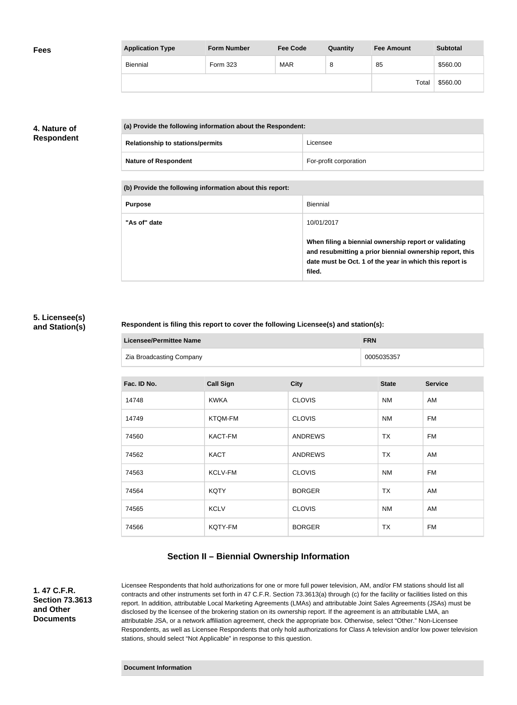| <b>Fees</b> | <b>Application Type</b> | <b>Form Number</b> | <b>Fee Code</b> | Quantity | <b>Fee Amount</b> | <b>Subtotal</b> |
|-------------|-------------------------|--------------------|-----------------|----------|-------------------|-----------------|
|             | Biennial                | Form 323           | <b>MAR</b>      | 8        | 85                | \$560.00        |
|             |                         |                    |                 |          | Total             | \$560.00        |

## **4. Nature of Respondent**

| (a) Provide the following information about the Respondent: |                        |
|-------------------------------------------------------------|------------------------|
| <b>Relationship to stations/permits</b>                     | Licensee               |
| <b>Nature of Respondent</b>                                 | For-profit corporation |

**(b) Provide the following information about this report:**

| <b>Purpose</b> | Biennial                                                                                                                                                                               |
|----------------|----------------------------------------------------------------------------------------------------------------------------------------------------------------------------------------|
| "As of" date   | 10/01/2017                                                                                                                                                                             |
|                | When filing a biennial ownership report or validating<br>and resubmitting a prior biennial ownership report, this<br>date must be Oct. 1 of the year in which this report is<br>filed. |

#### **5. Licensee(s) and Station(s)**

#### **Respondent is filing this report to cover the following Licensee(s) and station(s):**

| <b>Licensee/Permittee Name</b> | <b>FRN</b> |
|--------------------------------|------------|
| Zia Broadcasting Company       | 0005035357 |

| Fac. ID No. | <b>Call Sign</b> | <b>City</b>    | <b>State</b> | <b>Service</b> |
|-------------|------------------|----------------|--------------|----------------|
| 14748       | <b>KWKA</b>      | <b>CLOVIS</b>  | <b>NM</b>    | AM             |
| 14749       | KTQM-FM          | <b>CLOVIS</b>  | <b>NM</b>    | <b>FM</b>      |
| 74560       | <b>KACT-FM</b>   | <b>ANDREWS</b> | <b>TX</b>    | <b>FM</b>      |
| 74562       | <b>KACT</b>      | <b>ANDREWS</b> | TX           | AM             |
| 74563       | KCLV-FM          | <b>CLOVIS</b>  | <b>NM</b>    | <b>FM</b>      |
| 74564       | <b>KQTY</b>      | <b>BORGER</b>  | <b>TX</b>    | AM             |
| 74565       | <b>KCLV</b>      | <b>CLOVIS</b>  | <b>NM</b>    | AM             |
| 74566       | KQTY-FM          | <b>BORGER</b>  | <b>TX</b>    | <b>FM</b>      |

## **Section II – Biennial Ownership Information**

**1. 47 C.F.R. Section 73.3613 and Other Documents**

Licensee Respondents that hold authorizations for one or more full power television, AM, and/or FM stations should list all contracts and other instruments set forth in 47 C.F.R. Section 73.3613(a) through (c) for the facility or facilities listed on this report. In addition, attributable Local Marketing Agreements (LMAs) and attributable Joint Sales Agreements (JSAs) must be disclosed by the licensee of the brokering station on its ownership report. If the agreement is an attributable LMA, an attributable JSA, or a network affiliation agreement, check the appropriate box. Otherwise, select "Other." Non-Licensee Respondents, as well as Licensee Respondents that only hold authorizations for Class A television and/or low power television stations, should select "Not Applicable" in response to this question.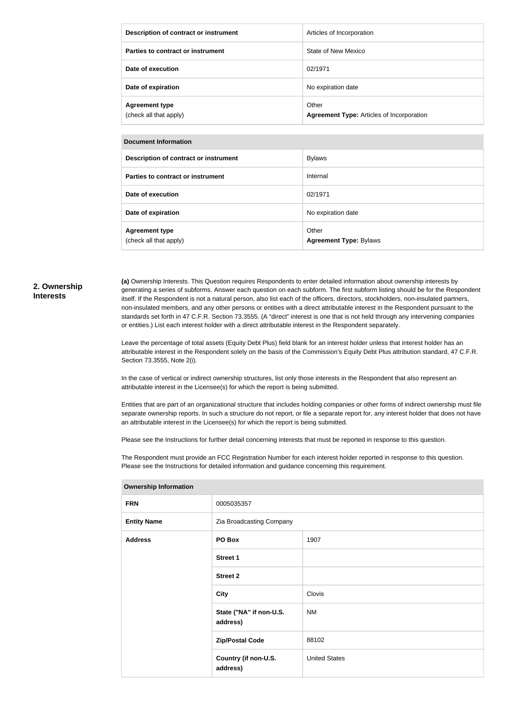| Description of contract or instrument           | Articles of Incorporation                                 |
|-------------------------------------------------|-----------------------------------------------------------|
| Parties to contract or instrument               | State of New Mexico                                       |
| Date of execution                               | 02/1971                                                   |
| Date of expiration                              | No expiration date                                        |
| <b>Agreement type</b><br>(check all that apply) | Other<br><b>Agreement Type: Articles of Incorporation</b> |

| Document Information |  |
|----------------------|--|
|----------------------|--|

| Description of contract or instrument           | <b>Bylaws</b>                          |
|-------------------------------------------------|----------------------------------------|
| Parties to contract or instrument               | Internal                               |
| Date of execution                               | 02/1971                                |
| Date of expiration                              | No expiration date                     |
| <b>Agreement type</b><br>(check all that apply) | Other<br><b>Agreement Type: Bylaws</b> |

#### **2. Ownership Interests**

**(a)** Ownership Interests. This Question requires Respondents to enter detailed information about ownership interests by generating a series of subforms. Answer each question on each subform. The first subform listing should be for the Respondent itself. If the Respondent is not a natural person, also list each of the officers, directors, stockholders, non-insulated partners, non-insulated members, and any other persons or entities with a direct attributable interest in the Respondent pursuant to the standards set forth in 47 C.F.R. Section 73.3555. (A "direct" interest is one that is not held through any intervening companies or entities.) List each interest holder with a direct attributable interest in the Respondent separately.

Leave the percentage of total assets (Equity Debt Plus) field blank for an interest holder unless that interest holder has an attributable interest in the Respondent solely on the basis of the Commission's Equity Debt Plus attribution standard, 47 C.F.R. Section 73.3555, Note 2(i).

In the case of vertical or indirect ownership structures, list only those interests in the Respondent that also represent an attributable interest in the Licensee(s) for which the report is being submitted.

Entities that are part of an organizational structure that includes holding companies or other forms of indirect ownership must file separate ownership reports. In such a structure do not report, or file a separate report for, any interest holder that does not have an attributable interest in the Licensee(s) for which the report is being submitted.

Please see the Instructions for further detail concerning interests that must be reported in response to this question.

The Respondent must provide an FCC Registration Number for each interest holder reported in response to this question. Please see the Instructions for detailed information and guidance concerning this requirement.

| 0005035357<br>Zia Broadcasting Company<br>PO Box<br>1907<br>Street 1<br><b>Street 2</b><br>Clovis<br><b>City</b><br>State ("NA" if non-U.S.<br><b>NM</b><br>address)<br><b>Zip/Postal Code</b><br>88102<br><b>United States</b><br>Country (if non-U.S.<br>address) |                    |  |  |
|---------------------------------------------------------------------------------------------------------------------------------------------------------------------------------------------------------------------------------------------------------------------|--------------------|--|--|
|                                                                                                                                                                                                                                                                     | <b>FRN</b>         |  |  |
|                                                                                                                                                                                                                                                                     | <b>Entity Name</b> |  |  |
|                                                                                                                                                                                                                                                                     | <b>Address</b>     |  |  |
|                                                                                                                                                                                                                                                                     |                    |  |  |
|                                                                                                                                                                                                                                                                     |                    |  |  |
|                                                                                                                                                                                                                                                                     |                    |  |  |
|                                                                                                                                                                                                                                                                     |                    |  |  |
|                                                                                                                                                                                                                                                                     |                    |  |  |
|                                                                                                                                                                                                                                                                     |                    |  |  |

#### **Ownership Information**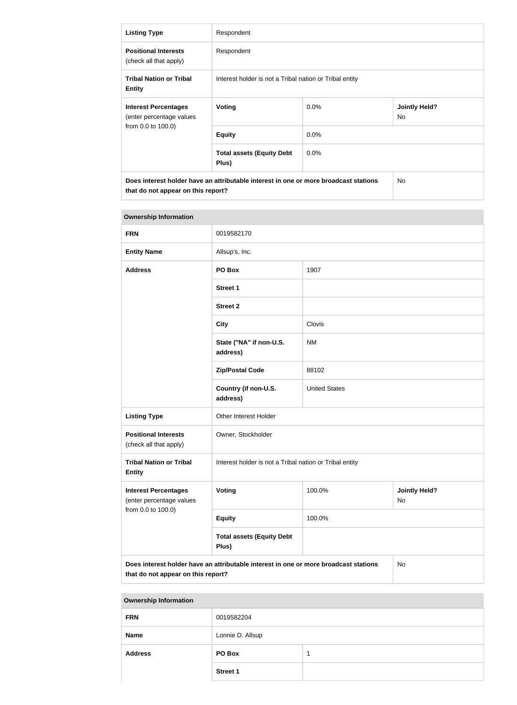| <b>Listing Type</b>                                                                                                        | Respondent                                              |         |                             |
|----------------------------------------------------------------------------------------------------------------------------|---------------------------------------------------------|---------|-----------------------------|
| <b>Positional Interests</b><br>(check all that apply)                                                                      | Respondent                                              |         |                             |
| <b>Tribal Nation or Tribal</b><br><b>Entity</b>                                                                            | Interest holder is not a Tribal nation or Tribal entity |         |                             |
| <b>Interest Percentages</b><br>(enter percentage values<br>from 0.0 to 100.0)                                              | <b>Voting</b>                                           | $0.0\%$ | <b>Jointly Held?</b><br>No. |
|                                                                                                                            | <b>Equity</b>                                           | $0.0\%$ |                             |
|                                                                                                                            | <b>Total assets (Equity Debt</b><br>Plus)               | $0.0\%$ |                             |
| Does interest holder have an attributable interest in one or more broadcast stations<br>that do not appear on this report? |                                                         |         | No.                         |

| <b>Ownership Information</b>                                                         |                                                         |                      |                            |
|--------------------------------------------------------------------------------------|---------------------------------------------------------|----------------------|----------------------------|
| <b>FRN</b>                                                                           | 0019582170                                              |                      |                            |
| <b>Entity Name</b>                                                                   | Allsup's, Inc.                                          |                      |                            |
| <b>Address</b>                                                                       | PO Box                                                  | 1907                 |                            |
|                                                                                      | <b>Street 1</b>                                         |                      |                            |
|                                                                                      | <b>Street 2</b>                                         |                      |                            |
|                                                                                      | <b>City</b>                                             | Clovis               |                            |
|                                                                                      | State ("NA" if non-U.S.<br>address)                     | <b>NM</b>            |                            |
|                                                                                      | <b>Zip/Postal Code</b>                                  | 88102                |                            |
|                                                                                      | Country (if non-U.S.<br>address)                        | <b>United States</b> |                            |
| <b>Listing Type</b>                                                                  | Other Interest Holder                                   |                      |                            |
| <b>Positional Interests</b><br>(check all that apply)                                | Owner, Stockholder                                      |                      |                            |
| <b>Tribal Nation or Tribal</b><br><b>Entity</b>                                      | Interest holder is not a Tribal nation or Tribal entity |                      |                            |
| <b>Interest Percentages</b><br>(enter percentage values                              | Voting                                                  | 100.0%               | <b>Jointly Held?</b><br>No |
| from 0.0 to 100.0)                                                                   | <b>Equity</b>                                           | 100.0%               |                            |
|                                                                                      | <b>Total assets (Equity Debt</b><br>Plus)               |                      |                            |
| Does interest holder have an attributable interest in one or more broadcast stations |                                                         |                      | No                         |

| <b>Ownership Information</b> |                  |  |  |
|------------------------------|------------------|--|--|
| <b>FRN</b>                   | 0019582204       |  |  |
| <b>Name</b>                  | Lonnie D. Allsup |  |  |
| <b>Address</b>               | PO Box           |  |  |
|                              | <b>Street 1</b>  |  |  |

**that do not appear on this report?**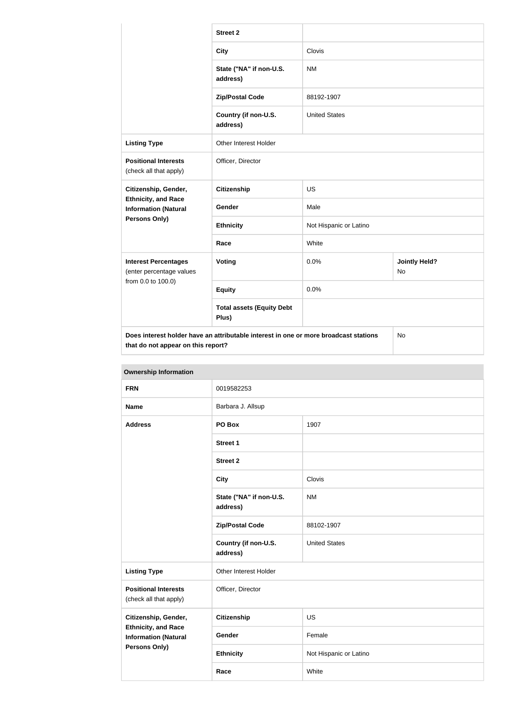|                                                           | <b>Street 2</b>                                                                      |                        |                            |
|-----------------------------------------------------------|--------------------------------------------------------------------------------------|------------------------|----------------------------|
|                                                           | <b>City</b>                                                                          | Clovis                 |                            |
|                                                           | State ("NA" if non-U.S.<br>address)                                                  | <b>NM</b>              |                            |
|                                                           | <b>Zip/Postal Code</b>                                                               | 88192-1907             |                            |
|                                                           | Country (if non-U.S.<br>address)                                                     | <b>United States</b>   |                            |
| <b>Listing Type</b>                                       | Other Interest Holder                                                                |                        |                            |
| <b>Positional Interests</b><br>(check all that apply)     | Officer, Director                                                                    |                        |                            |
| Citizenship, Gender,                                      | <b>Citizenship</b>                                                                   | <b>US</b>              |                            |
| <b>Ethnicity, and Race</b><br><b>Information (Natural</b> | Gender                                                                               | Male                   |                            |
| Persons Only)                                             | <b>Ethnicity</b>                                                                     | Not Hispanic or Latino |                            |
|                                                           | Race                                                                                 | White                  |                            |
| <b>Interest Percentages</b><br>(enter percentage values   | Voting                                                                               | 0.0%                   | <b>Jointly Held?</b><br>No |
| from 0.0 to 100.0)                                        | <b>Equity</b>                                                                        | 0.0%                   |                            |
|                                                           | <b>Total assets (Equity Debt</b><br>Plus)                                            |                        |                            |
| that do not appear on this report?                        | Does interest holder have an attributable interest in one or more broadcast stations |                        | No                         |

| <b>Ownership Information</b>                                                      |                                     |                        |  |
|-----------------------------------------------------------------------------------|-------------------------------------|------------------------|--|
| <b>FRN</b>                                                                        | 0019582253                          |                        |  |
| <b>Name</b>                                                                       | Barbara J. Allsup                   |                        |  |
| <b>Address</b>                                                                    | PO Box                              | 1907                   |  |
|                                                                                   | <b>Street 1</b>                     |                        |  |
|                                                                                   | <b>Street 2</b>                     |                        |  |
|                                                                                   | <b>City</b>                         | Clovis                 |  |
|                                                                                   | State ("NA" if non-U.S.<br>address) | <b>NM</b>              |  |
|                                                                                   | <b>Zip/Postal Code</b>              | 88102-1907             |  |
|                                                                                   | Country (if non-U.S.<br>address)    | <b>United States</b>   |  |
| <b>Listing Type</b>                                                               | Other Interest Holder               |                        |  |
| <b>Positional Interests</b><br>(check all that apply)                             | Officer, Director                   |                        |  |
| Citizenship, Gender,<br><b>Ethnicity, and Race</b><br><b>Information (Natural</b> | <b>Citizenship</b>                  | <b>US</b>              |  |
|                                                                                   | Gender                              | Female                 |  |
| <b>Persons Only)</b>                                                              | <b>Ethnicity</b>                    | Not Hispanic or Latino |  |

**Race** White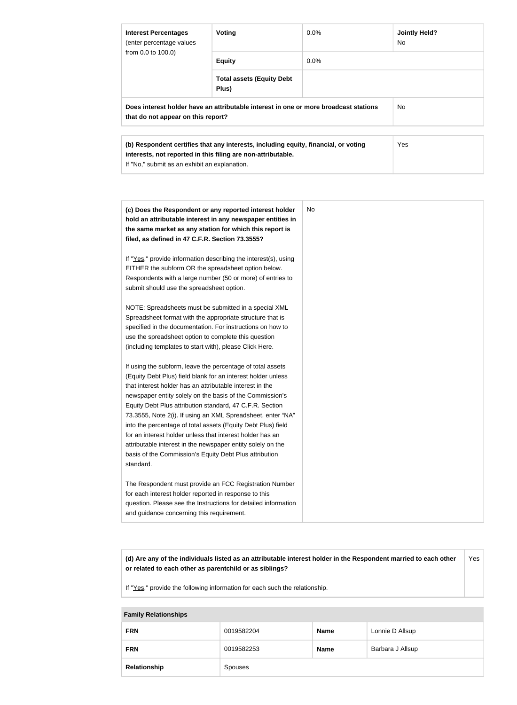| <b>Interest Percentages</b><br>(enter percentage values                                                                                                                                              | Voting                                    | $0.0\%$ | <b>Jointly Held?</b><br>No. |
|------------------------------------------------------------------------------------------------------------------------------------------------------------------------------------------------------|-------------------------------------------|---------|-----------------------------|
| from 0.0 to 100.0)                                                                                                                                                                                   | <b>Equity</b>                             | $0.0\%$ |                             |
|                                                                                                                                                                                                      | <b>Total assets (Equity Debt</b><br>Plus) |         |                             |
| Does interest holder have an attributable interest in one or more broadcast stations<br>that do not appear on this report?                                                                           |                                           |         | N <sub>o</sub>              |
| (b) Respondent certifies that any interests, including equity, financial, or voting<br>interests, not reported in this filing are non-attributable.<br>If "No," submit as an exhibit an explanation. |                                           |         | Yes                         |

| (c) Does the Respondent or any reported interest holder<br>hold an attributable interest in any newspaper entities in<br>the same market as any station for which this report is<br>filed, as defined in 47 C.F.R. Section 73.3555?                                                                                                                                                                                                                                                                                                                                                                                                              | No. |
|--------------------------------------------------------------------------------------------------------------------------------------------------------------------------------------------------------------------------------------------------------------------------------------------------------------------------------------------------------------------------------------------------------------------------------------------------------------------------------------------------------------------------------------------------------------------------------------------------------------------------------------------------|-----|
| If "Yes," provide information describing the interest(s), using<br>EITHER the subform OR the spreadsheet option below.<br>Respondents with a large number (50 or more) of entries to<br>submit should use the spreadsheet option.                                                                                                                                                                                                                                                                                                                                                                                                                |     |
| NOTE: Spreadsheets must be submitted in a special XML<br>Spreadsheet format with the appropriate structure that is<br>specified in the documentation. For instructions on how to<br>use the spreadsheet option to complete this question<br>(including templates to start with), please Click Here.                                                                                                                                                                                                                                                                                                                                              |     |
| If using the subform, leave the percentage of total assets<br>(Equity Debt Plus) field blank for an interest holder unless<br>that interest holder has an attributable interest in the<br>newspaper entity solely on the basis of the Commission's<br>Equity Debt Plus attribution standard, 47 C.F.R. Section<br>73.3555, Note 2(i). If using an XML Spreadsheet, enter "NA"<br>into the percentage of total assets (Equity Debt Plus) field<br>for an interest holder unless that interest holder has an<br>attributable interest in the newspaper entity solely on the<br>basis of the Commission's Equity Debt Plus attribution<br>standard. |     |
| The Respondent must provide an FCC Registration Number<br>for each interest holder reported in response to this<br>question. Please see the Instructions for detailed information<br>and guidance concerning this requirement.                                                                                                                                                                                                                                                                                                                                                                                                                   |     |

**(d) Are any of the individuals listed as an attributable interest holder in the Respondent married to each other or related to each other as parentchild or as siblings?** Yes

If "Yes," provide the following information for each such the relationship.

#### **Family Relationships**

| <b>FRN</b>   | 0019582204 | <b>Name</b> | Lonnie D Allsup  |
|--------------|------------|-------------|------------------|
| <b>FRN</b>   | 0019582253 | <b>Name</b> | Barbara J Allsup |
| Relationship | Spouses    |             |                  |